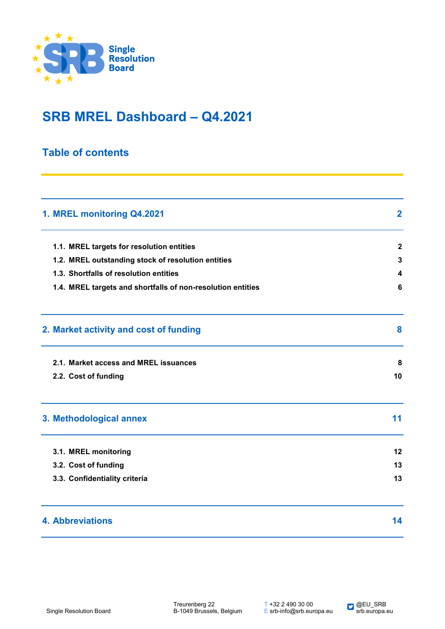

## **SRB MREL Dashboard – Q4.2021**

### **Table of contents**

| 1. MREL monitoring Q4.2021                                  | $\mathbf{2}$ |
|-------------------------------------------------------------|--------------|
| 1.1. MREL targets for resolution entities                   | $\mathbf{2}$ |
| 1.2. MREL outstanding stock of resolution entities          | 3            |
| 1.3. Shortfalls of resolution entities                      | 4            |
| 1.4. MREL targets and shortfalls of non-resolution entities | 6            |
| 2. Market activity and cost of funding                      | 8            |
| 2.1. Market access and MREL issuances                       | 8            |
| 2.2. Cost of funding                                        | 10           |
| 3. Methodological annex                                     | 11           |
| 3.1. MREL monitoring                                        | 12           |
| 3.2. Cost of funding                                        | 13           |
| 3.3. Confidentiality criteria                               | 13           |
| <b>4. Abbreviations</b>                                     | 14           |

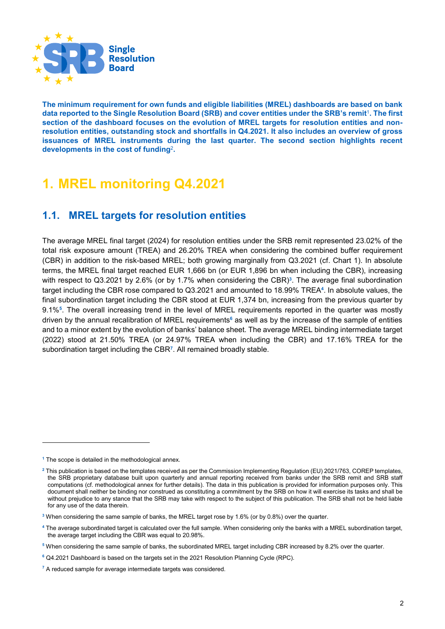

**The minimum requirement for own funds and eligible liabilities (MREL) dashboards are based on bank data reported to the Single Resolution Board (SRB) and cover entities under the SRB's remit**<sup>1</sup>**. The first section of the dashboard focuses on the evolution of MREL targets for resolution entities and nonresolution entities, outstanding stock and shortfalls in Q4.2021. It also includes an overview of gross issuances of MREL instruments during the last quarter. The second section highlights recent developments in the cost of funding**<sup>2</sup>**.**

# **1. MREL monitoring Q4.2021**

## **1.1. MREL targets for resolution entities**

The average MREL final target (2024) for resolution entities under the SRB remit represented 23.02% of the total risk exposure amount (TREA) and 26.20% TREA when considering the combined buffer requirement (CBR) in addition to the risk-based MREL; both growing marginally from Q3.2021 (cf. Chart 1). In absolute terms, the MREL final target reached EUR 1,666 bn (or EUR 1,896 bn when including the CBR), increasing with respect to Q3.2021 by 2.6% (or by 1.7% when considering the CBR)<sup>3</sup>. The average final subordination target including the CBR rose compared to Q3.2021 and amounted to 18.99% TREA**4**. In absolute values, the final subordination target including the CBR stood at EUR 1,374 bn, increasing from the previous quarter by 9.1%**5**. The overall increasing trend in the level of MREL requirements reported in the quarter was mostly driven by the annual recalibration of MREL requirements**<sup>6</sup>** as well as by the increase of the sample of entities and to a minor extent by the evolution of banks' balance sheet. The average MREL binding intermediate target (2022) stood at 21.50% TREA (or 24.97% TREA when including the CBR) and 17.16% TREA for the subordination target including the CBR**7**. All remained broadly stable.

-

**<sup>1</sup>** The scope is detailed in the methodological annex.

**<sup>2</sup>** This publication is based on the templates received as per the Commission Implementing Regulation (EU) 2021/763, COREP templates, the SRB proprietary database built upon quarterly and annual reporting received from banks under the SRB remit and SRB staff computations (cf. methodological annex for further details). The data in this publication is provided for information purposes only. This document shall neither be binding nor construed as constituting a commitment by the SRB on how it will exercise its tasks and shall be without prejudice to any stance that the SRB may take with respect to the subject of this publication. The SRB shall not be held liable for any use of the data therein.

**<sup>3</sup>** When considering the same sample of banks, the MREL target rose by 1.6% (or by 0.8%) over the quarter.

**<sup>4</sup>** The average subordinated target is calculated over the full sample. When considering only the banks with a MREL subordination target, the average target including the CBR was equal to 20.98%.

**<sup>5</sup>** When considering the same sample of banks, the subordinated MREL target including CBR increased by 8.2% over the quarter.

**<sup>6</sup>** Q4.2021 Dashboard is based on the targets set in the 2021 Resolution Planning Cycle (RPC).

**<sup>7</sup>** A reduced sample for average intermediate targets was considered.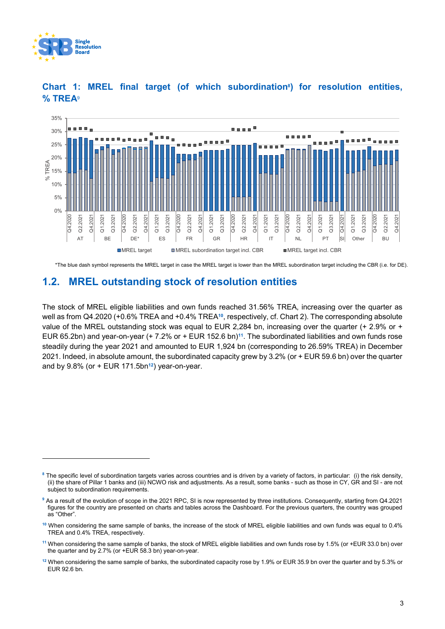

-



#### **Chart 1: MREL final target (of which subordination8) for resolution entities, % TREA**<sup>9</sup>

\*The blue dash symbol represents the MREL target in case the MREL target is lower than the MREL subordination target including the CBR (i.e. for DE).

#### **1.2. MREL outstanding stock of resolution entities**

The stock of MREL eligible liabilities and own funds reached 31.56% TREA, increasing over the quarter as well as from Q4.2020 (+0.6% TREA and +0.4% TREA**10**, respectively, cf. Chart 2). The corresponding absolute value of the MREL outstanding stock was equal to EUR 2,284 bn, increasing over the quarter (+ 2.9% or + EUR 65.2bn) and year-on-year (+ 7.2% or + EUR 152.6 bn)**11**. The subordinated liabilities and own funds rose steadily during the year 2021 and amounted to EUR 1,924 bn (corresponding to 26.59% TREA) in December 2021. Indeed, in absolute amount, the subordinated capacity grew by 3.2% (or + EUR 59.6 bn) over the quarter and by 9.8% (or + EUR 171.5bn**12**) year-on-year.

**<sup>8</sup>** The specific level of subordination targets varies across countries and is driven by a variety of factors, in particular: (i) the risk density, (ii) the share of Pillar 1 banks and (iii) NCWO risk and adjustments. As a result, some banks - such as those in CY, GR and SI - are not subject to subordination requirements.

**<sup>9</sup>** As a result of the evolution of scope in the 2021 RPC, SI is now represented by three institutions. Consequently, starting from Q4.2021 figures for the country are presented on charts and tables across the Dashboard. For the previous quarters, the country was grouped as "Other".

**<sup>10</sup>** When considering the same sample of banks, the increase of the stock of MREL eligible liabilities and own funds was equal to 0.4% TREA and 0.4% TREA, respectively.

**<sup>11</sup>** When considering the same sample of banks, the stock of MREL eligible liabilities and own funds rose by 1.5% (or +EUR 33.0 bn) over the quarter and by 2.7% (or +EUR 58.3 bn) year-on-year.

**<sup>12</sup>** When considering the same sample of banks, the subordinated capacity rose by 1.9% or EUR 35.9 bn over the quarter and by 5.3% or EUR 92.6 bn.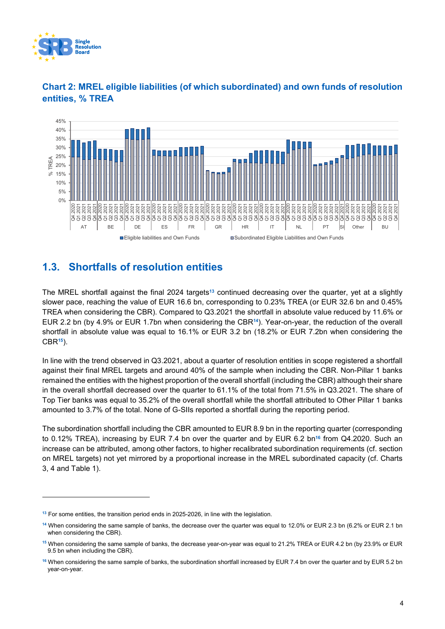

-



#### **Chart 2: MREL eligible liabilities (of which subordinated) and own funds of resolution entities, % TREA**

## **1.3. Shortfalls of resolution entities**

The MREL shortfall against the final 2024 targets**<sup>13</sup>** continued decreasing over the quarter, yet at a slightly slower pace, reaching the value of EUR 16.6 bn, corresponding to 0.23% TREA (or EUR 32.6 bn and 0.45% TREA when considering the CBR). Compared to Q3.2021 the shortfall in absolute value reduced by 11.6% or EUR 2.2 bn (by 4.9% or EUR 1.7bn when considering the CBR**14**). Year-on-year, the reduction of the overall shortfall in absolute value was equal to 16.1% or EUR 3.2 bn (18.2% or EUR 7.2bn when considering the CBR**15**).

In line with the trend observed in Q3.2021, about a quarter of resolution entities in scope registered a shortfall against their final MREL targets and around 40% of the sample when including the CBR. Non-Pillar 1 banks remained the entities with the highest proportion of the overall shortfall (including the CBR) although their share in the overall shortfall decreased over the quarter to 61.1% of the total from 71.5% in Q3.2021. The share of Top Tier banks was equal to 35.2% of the overall shortfall while the shortfall attributed to Other Pillar 1 banks amounted to 3.7% of the total. None of G-SIIs reported a shortfall during the reporting period.

The subordination shortfall including the CBR amounted to EUR 8.9 bn in the reporting quarter (corresponding to 0.12% TREA), increasing by EUR 7.4 bn over the quarter and by EUR 6.2 bn**<sup>16</sup>** from Q4.2020. Such an increase can be attributed, among other factors, to higher recalibrated subordination requirements (cf. section on MREL targets) not yet mirrored by a proportional increase in the MREL subordinated capacity (cf. Charts 3, 4 and Table 1).

**<sup>13</sup>** For some entities, the transition period ends in 2025-2026, in line with the legislation.

**<sup>14</sup>** When considering the same sample of banks, the decrease over the quarter was equal to 12.0% or EUR 2.3 bn (6.2% or EUR 2.1 bn when considering the CBR).

**<sup>15</sup>** When considering the same sample of banks, the decrease year-on-year was equal to 21.2% TREA or EUR 4.2 bn (by 23.9% or EUR 9.5 bn when including the CBR).

**<sup>16</sup>** When considering the same sample of banks, the subordination shortfall increased by EUR 7.4 bn over the quarter and by EUR 5.2 bn year-on-year.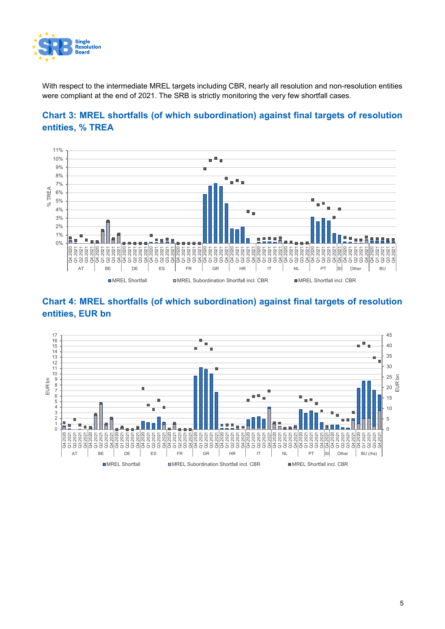

With respect to the intermediate MREL targets including CBR, nearly all resolution and non-resolution entities were compliant at the end of 2021. The SRB is strictly monitoring the very few shortfall cases.







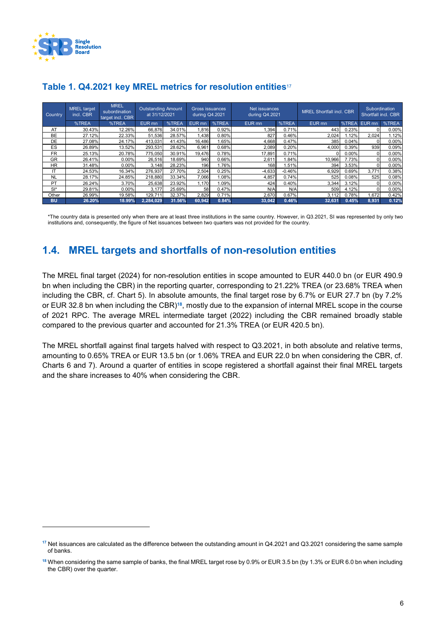

-

| Country   | <b>MREL</b> target<br>incl. CBR | <b>MREL</b><br>subordination<br>target incl. CBR | Outstanding Amount<br>at 31/12/2021 |        | Gross issuances<br>during Q4.2021 |       | Net issuances<br>during Q4.2021 |          | <b>MREL Shortfall incl. CBR</b> |          | <b>Subordination</b><br>Shortfall incl. CBR |       |
|-----------|---------------------------------|--------------------------------------------------|-------------------------------------|--------|-----------------------------------|-------|---------------------------------|----------|---------------------------------|----------|---------------------------------------------|-------|
|           | %TREA                           | %TREA                                            | EUR mn                              | %TREA  | EUR mn                            | %TREA | EUR mn                          | %TREA    | EUR mn                          | %TREA    | EUR <sub>mn</sub>                           | %TREA |
| AT        | 30.43%                          | 12.26%                                           | 66,876                              | 34.01% | .816                              | 0.92% | 1,394                           | 0.71%    | 443                             | 0.23%    |                                             | 0.00% |
| <b>BE</b> | 27.12%                          | 22.33%                                           | 51,536                              | 28.57% | .438                              | 0.80% | 827                             | 0.46%    | 2,024                           | 1.12%    | 2.024                                       | 1.12% |
| DE        | 27.08%                          | 24.17%                                           | 413.031                             | 41.43% | 16.486                            | .65%  | 4.668                           | 0.47%    | 385                             | 0.04%    |                                             | 0.00% |
| ES        | 26.89%                          | 13.52%                                           | 293,531                             | 28.62% | 6,961                             | 0.68% | 2,089                           | 0.20%    | 4,000                           | 0.39%    | 939                                         | 0.09% |
| <b>FR</b> | 25.13%                          | 20.78%                                           | 775,050                             | 30.91% | 19.476                            | 0.78% | 17,891                          | 0.71%    |                                 | $0.00\%$ |                                             | 0.00% |
| GR        | 26.41%                          | $0.00\%$                                         | 26,516                              | 18.69% | 940                               | 0.66% | 2,611                           | 1.84%    | 10,966                          | 7.73%    |                                             | 0.00% |
| <b>HR</b> | 31.48%                          | 0.00%                                            | 3.148                               | 28.23% | 196                               | 1.76% | 168                             | 1.51%    | 394                             | 3.53%    |                                             | 0.00% |
| IT        | 24.53%                          | 16.34%                                           | 276,937                             | 27.70% | 2,504                             | 0.25% | $-4,633$                        | $-0.46%$ | 6,929                           | 0.69%    | 3.771                                       | 0.38% |
| <b>NL</b> | 28.17%                          | 24.85%                                           | 218,880                             | 33.34% | 7.066                             | 1.08% | 4,857                           | 0.74%    | 525                             | 0.08%    | 525                                         | 0.08% |
| PT        | 26.24%                          | 3.70%                                            | 25,638                              | 23.92% | .170                              | 1.09% | 424                             | 0.40%    | 3,344                           | 3.12%    |                                             | 0.00% |
| $SI^*$    | 29.81%                          | 0.00%                                            | 3,177                               | 25.69% | 58                                | 0.47% | N/A                             | N/A      | 509                             | 4.12%    |                                             | 0.00% |
| Other     | 26.99%                          | 19.58%                                           | 129.711                             | 32.37% | 2,829                             | 0.71% | 2,670                           | 0.67%    | 3.112                           | 0.78%    | 1.672                                       | 0.42% |
| <b>BU</b> | 26.20%                          | 18.99%                                           | 2,284,029                           | 31.56% | 60.942                            | 0.84% | 33,042                          | 0.46%    | 32,631                          | 0.45%    | 8,931                                       | 0.12% |

#### **Table 1. Q4.2021 key MREL metrics for resolution entities**<sup>17</sup>

\*The country data is presented only when there are at least three institutions in the same country. However, in Q3.2021, SI was represented by only two institutions and, consequently, the figure of Net issuances between two quarters was not provided for the country.

## **1.4. MREL targets and shortfalls of non-resolution entities**

The MREL final target (2024) for non-resolution entities in scope amounted to EUR 440.0 bn (or EUR 490.9 bn when including the CBR) in the reporting quarter, corresponding to 21.22% TREA (or 23.68% TREA when including the CBR, cf. Chart 5). In absolute amounts, the final target rose by 6.7% or EUR 27.7 bn (by 7.2% or EUR 32.8 bn when including the CBR)**18**, mostly due to the expansion of internal MREL scope in the course of 2021 RPC. The average MREL intermediate target (2022) including the CBR remained broadly stable compared to the previous quarter and accounted for 21.3% TREA (or EUR 420.5 bn).

The MREL shortfall against final targets halved with respect to Q3.2021, in both absolute and relative terms, amounting to 0.65% TREA or EUR 13.5 bn (or 1.06% TREA and EUR 22.0 bn when considering the CBR, cf. Charts 6 and 7). Around a quarter of entities in scope registered a shortfall against their final MREL targets and the share increases to 40% when considering the CBR.

**<sup>17</sup>** Net issuances are calculated as the difference between the outstanding amount in Q4.2021 and Q3.2021 considering the same sample of banks.

**<sup>18</sup>** When considering the same sample of banks, the final MREL target rose by 0.9% or EUR 3.5 bn (by 1.3% or EUR 6.0 bn when including the CBR) over the quarter.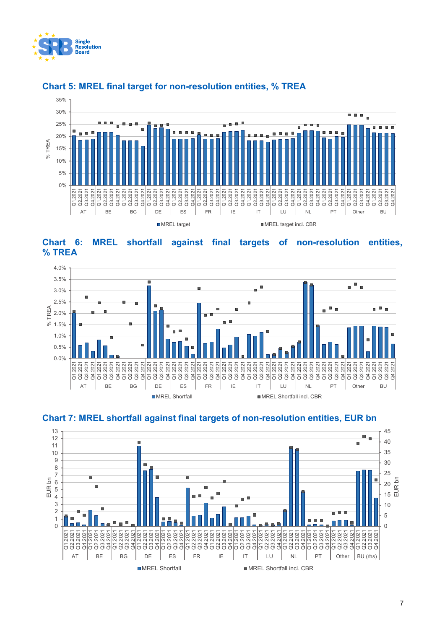



#### **Chart 5: MREL final target for non-resolution entities, % TREA**







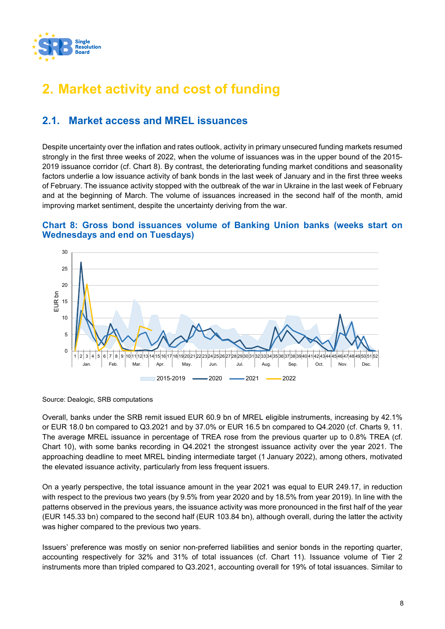

# **2. Market activity and cost of funding**

## **2.1. Market access and MREL issuances**

Despite uncertainty over the inflation and rates outlook, activity in primary unsecured funding markets resumed strongly in the first three weeks of 2022, when the volume of issuances was in the upper bound of the 2015- 2019 issuance corridor (cf. Chart 8). By contrast, the deteriorating funding market conditions and seasonality factors underlie a low issuance activity of bank bonds in the last week of January and in the first three weeks of February. The issuance activity stopped with the outbreak of the war in Ukraine in the last week of February and at the beginning of March. The volume of issuances increased in the second half of the month, amid improving market sentiment, despite the uncertainty deriving from the war.

#### **Chart 8: Gross bond issuances volume of Banking Union banks (weeks start on Wednesdays and end on Tuesdays)**



Source: Dealogic, SRB computations

Overall, banks under the SRB remit issued EUR 60.9 bn of MREL eligible instruments, increasing by 42.1% or EUR 18.0 bn compared to Q3.2021 and by 37.0% or EUR 16.5 bn compared to Q4.2020 (cf. Charts 9, 11. The average MREL issuance in percentage of TREA rose from the previous quarter up to 0.8% TREA (cf. Chart 10), with some banks recording in Q4.2021 the strongest issuance activity over the year 2021. The approaching deadline to meet MREL binding intermediate target (1 January 2022), among others, motivated the elevated issuance activity, particularly from less frequent issuers.

On a yearly perspective, the total issuance amount in the year 2021 was equal to EUR 249.17, in reduction with respect to the previous two years (by 9.5% from year 2020 and by 18.5% from year 2019). In line with the patterns observed in the previous years, the issuance activity was more pronounced in the first half of the year (EUR 145.33 bn) compared to the second half (EUR 103.84 bn), although overall, during the latter the activity was higher compared to the previous two years.

Issuers' preference was mostly on senior non-preferred liabilities and senior bonds in the reporting quarter, accounting respectively for 32% and 31% of total issuances (cf. Chart 11). Issuance volume of Tier 2 instruments more than tripled compared to Q3.2021, accounting overall for 19% of total issuances. Similar to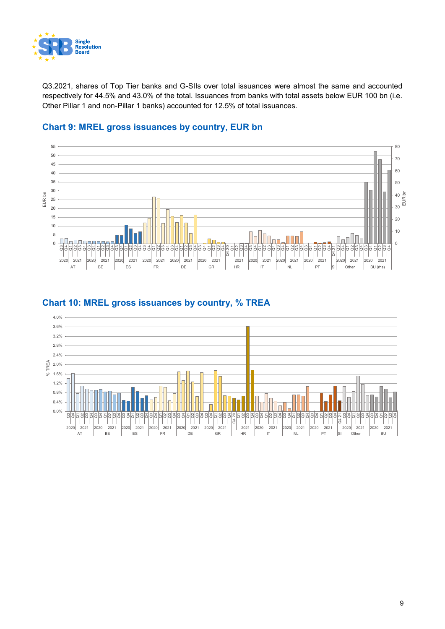

Q3.2021, shares of Top Tier banks and G-SIIs over total issuances were almost the same and accounted respectively for 44.5% and 43.0% of the total. Issuances from banks with total assets below EUR 100 bn (i.e. Other Pillar 1 and non-Pillar 1 banks) accounted for 12.5% of total issuances.



#### **Chart 9: MREL gross issuances by country, EUR bn**



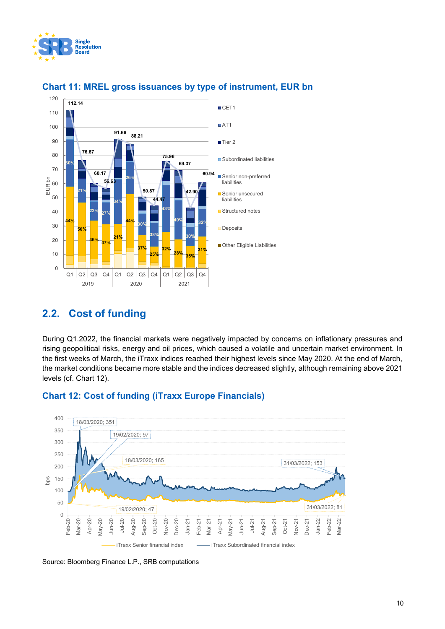



#### **Chart 11: MREL gross issuances by type of instrument, EUR bn**

#### **2.2. Cost of funding**

During Q1.2022, the financial markets were negatively impacted by concerns on inflationary pressures and rising geopolitical risks, energy and oil prices, which caused a volatile and uncertain market environment. In the first weeks of March, the iTraxx indices reached their highest levels since May 2020. At the end of March, the market conditions became more stable and the indices decreased slightly, although remaining above 2021 levels (cf. Chart 12).



#### **Chart 12: Cost of funding (iTraxx Europe Financials)**

Source: Bloomberg Finance L.P., SRB computations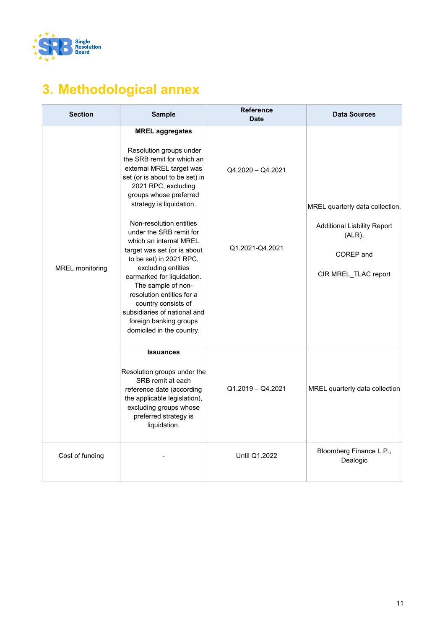

# **3. Methodological annex**

| <b>Section</b>         | <b>Sample</b>                                                                                                                                                                                                                                                                                                                                                                                                                                                                                                                                                                             | <b>Reference</b><br><b>Date</b>      | <b>Data Sources</b>                                                                                                     |
|------------------------|-------------------------------------------------------------------------------------------------------------------------------------------------------------------------------------------------------------------------------------------------------------------------------------------------------------------------------------------------------------------------------------------------------------------------------------------------------------------------------------------------------------------------------------------------------------------------------------------|--------------------------------------|-------------------------------------------------------------------------------------------------------------------------|
| <b>MREL</b> monitoring | <b>MREL aggregates</b><br>Resolution groups under<br>the SRB remit for which an<br>external MREL target was<br>set (or is about to be set) in<br>2021 RPC, excluding<br>groups whose preferred<br>strategy is liquidation.<br>Non-resolution entities<br>under the SRB remit for<br>which an internal MREL<br>target was set (or is about<br>to be set) in 2021 RPC,<br>excluding entities<br>earmarked for liquidation.<br>The sample of non-<br>resolution entities for a<br>country consists of<br>subsidiaries of national and<br>foreign banking groups<br>domiciled in the country. | Q4.2020 - Q4.2021<br>Q1.2021-Q4.2021 | MREL quarterly data collection,<br><b>Additional Liability Report</b><br>$(ALR)$ ,<br>COREP and<br>CIR MREL_TLAC report |
|                        | <b>Issuances</b><br>Resolution groups under the<br>SRB remit at each<br>reference date (according<br>the applicable legislation),<br>excluding groups whose<br>preferred strategy is<br>liquidation.                                                                                                                                                                                                                                                                                                                                                                                      | Q1.2019 - Q4.2021                    | MREL quarterly data collection                                                                                          |
| Cost of funding        |                                                                                                                                                                                                                                                                                                                                                                                                                                                                                                                                                                                           | Until Q1.2022                        | Bloomberg Finance L.P.,<br>Dealogic                                                                                     |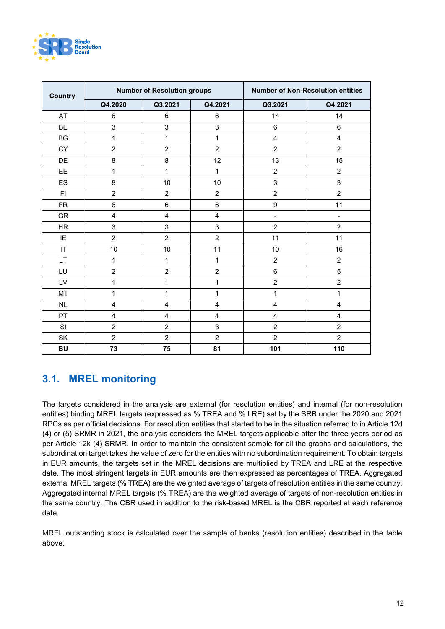

| <b>Country</b> |                         | <b>Number of Resolution groups</b> | <b>Number of Non-Resolution entities</b> |                         |                         |
|----------------|-------------------------|------------------------------------|------------------------------------------|-------------------------|-------------------------|
|                | Q4.2020                 | Q3.2021                            | Q4.2021                                  | Q3.2021                 | Q4.2021                 |
| AT             | 6                       | 6                                  | 6                                        | 14                      | 14                      |
| <b>BE</b>      | 3                       | 3                                  | 3                                        | $\,6\,$                 | 6                       |
| <b>BG</b>      | $\mathbf{1}$            | 1                                  | 1                                        | $\overline{\mathbf{4}}$ | $\overline{\mathbf{4}}$ |
| <b>CY</b>      | $\overline{c}$          | $\overline{c}$                     | $\overline{c}$                           | $\overline{2}$          | $\overline{c}$          |
| DE             | 8                       | 8                                  | 12                                       | 13                      | 15                      |
| EE             | 1                       | 1                                  | 1                                        | $\overline{2}$          | $\overline{2}$          |
| ES             | 8                       | 10                                 | 10                                       | 3                       | 3                       |
| F1             | $\overline{c}$          | $\overline{c}$                     | $\overline{c}$                           | $\overline{2}$          | $\overline{2}$          |
| <b>FR</b>      | $\,6$                   | $\,6$                              | 6                                        | $\boldsymbol{9}$        | 11                      |
| <b>GR</b>      | $\overline{\mathbf{4}}$ | $\overline{\mathbf{4}}$            | 4                                        | $\blacksquare$          | $\blacksquare$          |
| HR             | 3                       | 3                                  | 3                                        | $\overline{c}$          | $\overline{c}$          |
| IE             | $\overline{c}$          | $\overline{2}$                     | $\overline{c}$                           | 11                      | 11                      |
| IT             | 10                      | 10                                 | 11                                       | 10                      | 16                      |
| LT             | $\mathbf{1}$            | 1                                  | 1                                        | $\overline{c}$          | $\overline{c}$          |
| LU             | $\overline{2}$          | $\overline{c}$                     | $\overline{2}$                           | $6\phantom{a}$          | $\overline{5}$          |
| LV             | 1                       | 1                                  | 1                                        | $\overline{c}$          | $\overline{c}$          |
| MT             | $\mathbf{1}$            | 1                                  | 1                                        | $\mathbf{1}$            | $\mathbf{1}$            |
| <b>NL</b>      | $\overline{4}$          | $\overline{4}$                     | 4                                        | $\overline{4}$          | $\overline{\mathbf{4}}$ |
| PT             | $\overline{4}$          | $\overline{4}$                     | 4                                        | $\overline{4}$          | $\overline{4}$          |
| SI             | $\overline{c}$          | $\overline{c}$                     | 3                                        | $\overline{2}$          | $\overline{2}$          |
| SK             | $\overline{2}$          | $\overline{2}$                     | $\overline{2}$                           | $\overline{2}$          | $\overline{2}$          |
| <b>BU</b>      | 73                      | 75                                 | 81                                       | 101                     | 110                     |

#### **3.1. MREL monitoring**

The targets considered in the analysis are external (for resolution entities) and internal (for non-resolution entities) binding MREL targets (expressed as % TREA and % LRE) set by the SRB under the 2020 and 2021 RPCs as per official decisions. For resolution entities that started to be in the situation referred to in Article 12d (4) or (5) SRMR in 2021, the analysis considers the MREL targets applicable after the three years period as per Article 12k (4) SRMR. In order to maintain the consistent sample for all the graphs and calculations, the subordination target takes the value of zero for the entities with no subordination requirement. To obtain targets in EUR amounts, the targets set in the MREL decisions are multiplied by TREA and LRE at the respective date. The most stringent targets in EUR amounts are then expressed as percentages of TREA. Aggregated external MREL targets (% TREA) are the weighted average of targets of resolution entities in the same country. Aggregated internal MREL targets (% TREA) are the weighted average of targets of non-resolution entities in the same country. The CBR used in addition to the risk-based MREL is the CBR reported at each reference date.

MREL outstanding stock is calculated over the sample of banks (resolution entities) described in the table above.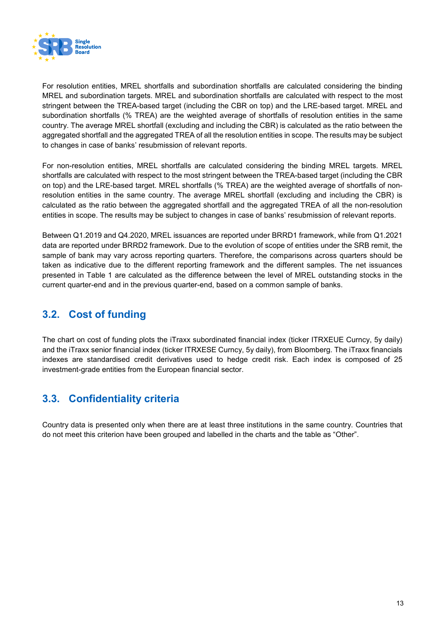

For resolution entities, MREL shortfalls and subordination shortfalls are calculated considering the binding MREL and subordination targets. MREL and subordination shortfalls are calculated with respect to the most stringent between the TREA-based target (including the CBR on top) and the LRE-based target. MREL and subordination shortfalls (% TREA) are the weighted average of shortfalls of resolution entities in the same country. The average MREL shortfall (excluding and including the CBR) is calculated as the ratio between the aggregated shortfall and the aggregated TREA of all the resolution entities in scope. The results may be subject to changes in case of banks' resubmission of relevant reports.

For non-resolution entities, MREL shortfalls are calculated considering the binding MREL targets. MREL shortfalls are calculated with respect to the most stringent between the TREA-based target (including the CBR on top) and the LRE-based target. MREL shortfalls (% TREA) are the weighted average of shortfalls of nonresolution entities in the same country. The average MREL shortfall (excluding and including the CBR) is calculated as the ratio between the aggregated shortfall and the aggregated TREA of all the non-resolution entities in scope. The results may be subject to changes in case of banks' resubmission of relevant reports.

Between Q1.2019 and Q4.2020, MREL issuances are reported under BRRD1 framework, while from Q1.2021 data are reported under BRRD2 framework. Due to the evolution of scope of entities under the SRB remit, the sample of bank may vary across reporting quarters. Therefore, the comparisons across quarters should be taken as indicative due to the different reporting framework and the different samples. The net issuances presented in Table 1 are calculated as the difference between the level of MREL outstanding stocks in the current quarter-end and in the previous quarter-end, based on a common sample of banks.

## **3.2. Cost of funding**

The chart on cost of funding plots the iTraxx subordinated financial index (ticker ITRXEUE Curncy, 5y daily) and the iTraxx senior financial index (ticker ITRXESE Curncy, 5y daily), from Bloomberg. The iTraxx financials indexes are standardised credit derivatives used to hedge credit risk. Each index is composed of 25 investment-grade entities from the European financial sector.

## **3.3. Confidentiality criteria**

Country data is presented only when there are at least three institutions in the same country. Countries that do not meet this criterion have been grouped and labelled in the charts and the table as "Other".